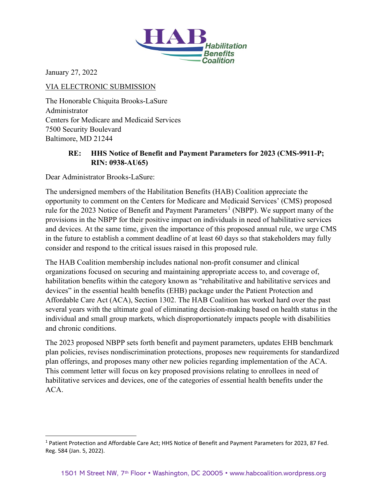

January 27, 2022

#### VIA ELECTRONIC SUBMISSION

The Honorable Chiquita Brooks-LaSure Administrator Centers for Medicare and Medicaid Services 7500 Security Boulevard Baltimore, MD 21244

## **RE: HHS Notice of Benefit and Payment Parameters for 2023 (CMS-9911-P; RIN: 0938-AU65)**

Dear Administrator Brooks-LaSure:

The undersigned members of the Habilitation Benefits (HAB) Coalition appreciate the opportunity to comment on the Centers for Medicare and Medicaid Services' (CMS) proposed rule for the 2023 Notice of Benefit and Payment Parameters<sup>[1](#page-0-0)</sup> (NBPP). We support many of the provisions in the NBPP for their positive impact on individuals in need of habilitative services and devices. At the same time, given the importance of this proposed annual rule, we urge CMS in the future to establish a comment deadline of at least 60 days so that stakeholders may fully consider and respond to the critical issues raised in this proposed rule.

The HAB Coalition membership includes national non-profit consumer and clinical organizations focused on securing and maintaining appropriate access to, and coverage of, habilitation benefits within the category known as "rehabilitative and habilitative services and devices" in the essential health benefits (EHB) package under the Patient Protection and Affordable Care Act (ACA), Section 1302. The HAB Coalition has worked hard over the past several years with the ultimate goal of eliminating decision-making based on health status in the individual and small group markets, which disproportionately impacts people with disabilities and chronic conditions.

The 2023 proposed NBPP sets forth benefit and payment parameters, updates EHB benchmark plan policies, revises nondiscrimination protections, proposes new requirements for standardized plan offerings, and proposes many other new policies regarding implementation of the ACA. This comment letter will focus on key proposed provisions relating to enrollees in need of habilitative services and devices, one of the categories of essential health benefits under the ACA.

<span id="page-0-0"></span><sup>1</sup> Patient Protection and Affordable Care Act; HHS Notice of Benefit and Payment Parameters for 2023, 87 Fed. Reg. 584 (Jan. 5, 2022).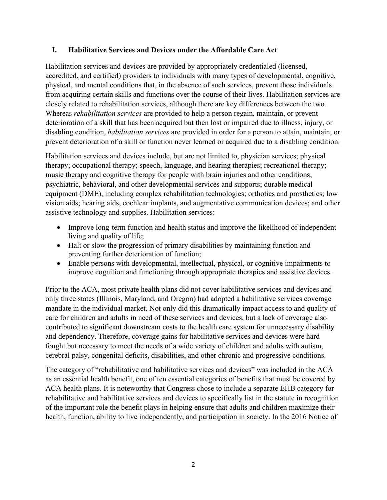#### **I. Habilitative Services and Devices under the Affordable Care Act**

Habilitation services and devices are provided by appropriately credentialed (licensed, accredited, and certified) providers to individuals with many types of developmental, cognitive, physical, and mental conditions that, in the absence of such services, prevent those individuals from acquiring certain skills and functions over the course of their lives. Habilitation services are closely related to rehabilitation services, although there are key differences between the two. Whereas *rehabilitation services* are provided to help a person regain, maintain, or prevent deterioration of a skill that has been acquired but then lost or impaired due to illness, injury, or disabling condition, *habilitation services* are provided in order for a person to attain, maintain, or prevent deterioration of a skill or function never learned or acquired due to a disabling condition.

Habilitation services and devices include, but are not limited to, physician services; physical therapy; occupational therapy; speech, language, and hearing therapies; recreational therapy; music therapy and cognitive therapy for people with brain injuries and other conditions; psychiatric, behavioral, and other developmental services and supports; durable medical equipment (DME), including complex rehabilitation technologies; orthotics and prosthetics; low vision aids; hearing aids, cochlear implants, and augmentative communication devices; and other assistive technology and supplies. Habilitation services:

- Improve long-term function and health status and improve the likelihood of independent living and quality of life;
- Halt or slow the progression of primary disabilities by maintaining function and preventing further deterioration of function;
- Enable persons with developmental, intellectual, physical, or cognitive impairments to improve cognition and functioning through appropriate therapies and assistive devices.

Prior to the ACA, most private health plans did not cover habilitative services and devices and only three states (Illinois, Maryland, and Oregon) had adopted a habilitative services coverage mandate in the individual market. Not only did this dramatically impact access to and quality of care for children and adults in need of these services and devices, but a lack of coverage also contributed to significant downstream costs to the health care system for unnecessary disability and dependency. Therefore, coverage gains for habilitative services and devices were hard fought but necessary to meet the needs of a wide variety of children and adults with autism, cerebral palsy, congenital deficits, disabilities, and other chronic and progressive conditions.

The category of "rehabilitative and habilitative services and devices" was included in the ACA as an essential health benefit, one of ten essential categories of benefits that must be covered by ACA health plans. It is noteworthy that Congress chose to include a separate EHB category for rehabilitative and habilitative services and devices to specifically list in the statute in recognition of the important role the benefit plays in helping ensure that adults and children maximize their health, function, ability to live independently, and participation in society. In the 2016 Notice of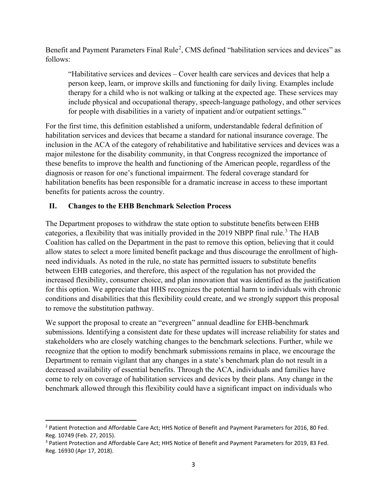Benefit and Payment Parameters Final Rule<sup>[2](#page-2-0)</sup>, CMS defined "habilitation services and devices" as follows:

"Habilitative services and devices – Cover health care services and devices that help a person keep, learn, or improve skills and functioning for daily living. Examples include therapy for a child who is not walking or talking at the expected age. These services may include physical and occupational therapy, speech-language pathology, and other services for people with disabilities in a variety of inpatient and/or outpatient settings."

For the first time, this definition established a uniform, understandable federal definition of habilitation services and devices that became a standard for national insurance coverage. The inclusion in the ACA of the category of rehabilitative and habilitative services and devices was a major milestone for the disability community, in that Congress recognized the importance of these benefits to improve the health and functioning of the American people, regardless of the diagnosis or reason for one's functional impairment. The federal coverage standard for habilitation benefits has been responsible for a dramatic increase in access to these important benefits for patients across the country.

### **II. Changes to the EHB Benchmark Selection Process**

The Department proposes to withdraw the state option to substitute benefits between EHB categories, a flexibility that was initially provided in the 2019 NBPP final rule.<sup>[3](#page-2-1)</sup> The HAB Coalition has called on the Department in the past to remove this option, believing that it could allow states to select a more limited benefit package and thus discourage the enrollment of highneed individuals. As noted in the rule, no state has permitted issuers to substitute benefits between EHB categories, and therefore, this aspect of the regulation has not provided the increased flexibility, consumer choice, and plan innovation that was identified as the justification for this option. We appreciate that HHS recognizes the potential harm to individuals with chronic conditions and disabilities that this flexibility could create, and we strongly support this proposal to remove the substitution pathway.

We support the proposal to create an "evergreen" annual deadline for EHB-benchmark submissions. Identifying a consistent date for these updates will increase reliability for states and stakeholders who are closely watching changes to the benchmark selections. Further, while we recognize that the option to modify benchmark submissions remains in place, we encourage the Department to remain vigilant that any changes in a state's benchmark plan do not result in a decreased availability of essential benefits. Through the ACA, individuals and families have come to rely on coverage of habilitation services and devices by their plans. Any change in the benchmark allowed through this flexibility could have a significant impact on individuals who

<span id="page-2-0"></span><sup>2</sup> Patient Protection and Affordable Care Act; HHS Notice of Benefit and Payment Parameters for 2016, 80 Fed. Reg. 10749 (Feb. 27, 2015).

<span id="page-2-1"></span><sup>3</sup> Patient Protection and Affordable Care Act; HHS Notice of Benefit and Payment Parameters for 2019, 83 Fed. Reg. 16930 (Apr 17, 2018).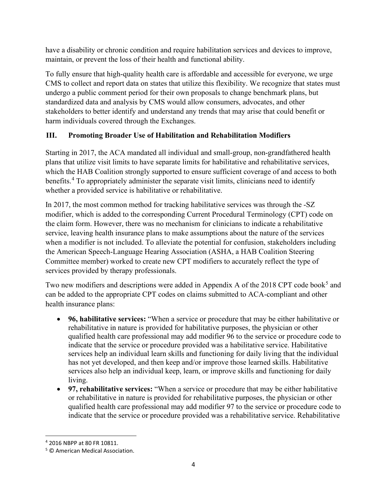have a disability or chronic condition and require habilitation services and devices to improve, maintain, or prevent the loss of their health and functional ability.

To fully ensure that high-quality health care is affordable and accessible for everyone, we urge CMS to collect and report data on states that utilize this flexibility. We recognize that states must undergo a public comment period for their own proposals to change benchmark plans, but standardized data and analysis by CMS would allow consumers, advocates, and other stakeholders to better identify and understand any trends that may arise that could benefit or harm individuals covered through the Exchanges.

# **III. Promoting Broader Use of Habilitation and Rehabilitation Modifiers**

Starting in 2017, the ACA mandated all individual and small-group, non-grandfathered health plans that utilize visit limits to have separate limits for habilitative and rehabilitative services, which the HAB Coalition strongly supported to ensure sufficient coverage of and access to both benefits.[4](#page-3-0) To appropriately administer the separate visit limits, clinicians need to identify whether a provided service is habilitative or rehabilitative.

In 2017, the most common method for tracking habilitative services was through the -SZ modifier, which is added to the corresponding Current Procedural Terminology (CPT) code on the claim form. However, there was no mechanism for clinicians to indicate a rehabilitative service, leaving health insurance plans to make assumptions about the nature of the services when a modifier is not included. To alleviate the potential for confusion, stakeholders including the American Speech-Language Hearing Association (ASHA, a HAB Coalition Steering Committee member) worked to create new CPT modifiers to accurately reflect the type of services provided by therapy professionals.

Two new modifiers and descriptions were added in Appendix A of the 2018 CPT code book<sup>[5](#page-3-1)</sup> and can be added to the appropriate CPT codes on claims submitted to ACA-compliant and other health insurance plans:

- **96, habilitative services:** "When a service or procedure that may be either habilitative or rehabilitative in nature is provided for habilitative purposes, the physician or other qualified health care professional may add modifier 96 to the service or procedure code to indicate that the service or procedure provided was a habilitative service. Habilitative services help an individual learn skills and functioning for daily living that the individual has not yet developed, and then keep and/or improve those learned skills. Habilitative services also help an individual keep, learn, or improve skills and functioning for daily living.
- **97, rehabilitative services:** "When a service or procedure that may be either habilitative or rehabilitative in nature is provided for rehabilitative purposes, the physician or other qualified health care professional may add modifier 97 to the service or procedure code to indicate that the service or procedure provided was a rehabilitative service. Rehabilitative

<span id="page-3-0"></span><sup>4</sup> 2016 NBPP at 80 FR 10811.

<span id="page-3-1"></span><sup>5</sup> © American Medical Association.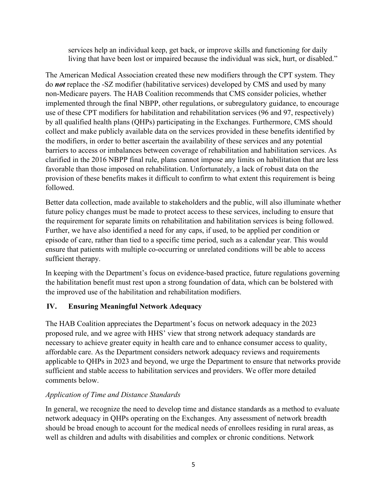services help an individual keep, get back, or improve skills and functioning for daily living that have been lost or impaired because the individual was sick, hurt, or disabled."

The American Medical Association created these new modifiers through the CPT system. They do *not* replace the -SZ modifier (habilitative services) developed by CMS and used by many non-Medicare payers. The HAB Coalition recommends that CMS consider policies, whether implemented through the final NBPP, other regulations, or subregulatory guidance, to encourage use of these CPT modifiers for habilitation and rehabilitation services (96 and 97, respectively) by all qualified health plans (QHPs) participating in the Exchanges. Furthermore, CMS should collect and make publicly available data on the services provided in these benefits identified by the modifiers, in order to better ascertain the availability of these services and any potential barriers to access or imbalances between coverage of rehabilitation and habilitation services. As clarified in the 2016 NBPP final rule, plans cannot impose any limits on habilitation that are less favorable than those imposed on rehabilitation. Unfortunately, a lack of robust data on the provision of these benefits makes it difficult to confirm to what extent this requirement is being followed.

Better data collection, made available to stakeholders and the public, will also illuminate whether future policy changes must be made to protect access to these services, including to ensure that the requirement for separate limits on rehabilitation and habilitation services is being followed. Further, we have also identified a need for any caps, if used, to be applied per condition or episode of care, rather than tied to a specific time period, such as a calendar year. This would ensure that patients with multiple co-occurring or unrelated conditions will be able to access sufficient therapy.

In keeping with the Department's focus on evidence-based practice, future regulations governing the habilitation benefit must rest upon a strong foundation of data, which can be bolstered with the improved use of the habilitation and rehabilitation modifiers.

### **IV. Ensuring Meaningful Network Adequacy**

The HAB Coalition appreciates the Department's focus on network adequacy in the 2023 proposed rule, and we agree with HHS' view that strong network adequacy standards are necessary to achieve greater equity in health care and to enhance consumer access to quality, affordable care. As the Department considers network adequacy reviews and requirements applicable to QHPs in 2023 and beyond, we urge the Department to ensure that networks provide sufficient and stable access to habilitation services and providers. We offer more detailed comments below.

### *Application of Time and Distance Standards*

In general, we recognize the need to develop time and distance standards as a method to evaluate network adequacy in QHPs operating on the Exchanges. Any assessment of network breadth should be broad enough to account for the medical needs of enrollees residing in rural areas, as well as children and adults with disabilities and complex or chronic conditions. Network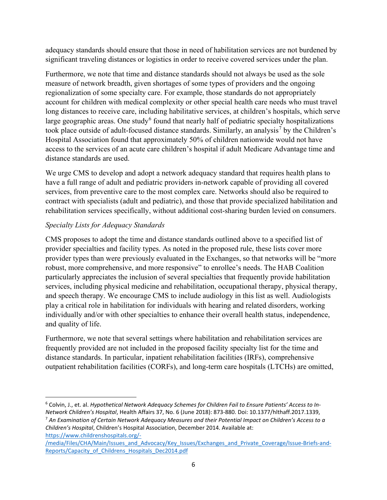adequacy standards should ensure that those in need of habilitation services are not burdened by significant traveling distances or logistics in order to receive covered services under the plan.

Furthermore, we note that time and distance standards should not always be used as the sole measure of network breadth, given shortages of some types of providers and the ongoing regionalization of some specialty care. For example, those standards do not appropriately account for children with medical complexity or other special health care needs who must travel long distances to receive care, including habilitative services, at children's hospitals, which serve large geographic areas. One study<sup>[6](#page-5-0)</sup> found that nearly half of pediatric specialty hospitalizations took place outside of adult-focused distance standards. Similarly, an analysis<sup>[7](#page-5-1)</sup> by the Children's Hospital Association found that approximately 50% of children nationwide would not have access to the services of an acute care children's hospital if adult Medicare Advantage time and distance standards are used.

We urge CMS to develop and adopt a network adequacy standard that requires health plans to have a full range of adult and pediatric providers in-network capable of providing all covered services, from preventive care to the most complex care. Networks should also be required to contract with specialists (adult and pediatric), and those that provide specialized habilitation and rehabilitation services specifically, without additional cost-sharing burden levied on consumers.

### *Specialty Lists for Adequacy Standards*

CMS proposes to adopt the time and distance standards outlined above to a specified list of provider specialties and facility types. As noted in the proposed rule, these lists cover more provider types than were previously evaluated in the Exchanges, so that networks will be "more robust, more comprehensive, and more responsive" to enrollee's needs. The HAB Coalition particularly appreciates the inclusion of several specialties that frequently provide habilitation services, including physical medicine and rehabilitation, occupational therapy, physical therapy, and speech therapy. We encourage CMS to include audiology in this list as well. Audiologists play a critical role in habilitation for individuals with hearing and related disorders, working individually and/or with other specialties to enhance their overall health status, independence, and quality of life.

Furthermore, we note that several settings where habilitation and rehabilitation services are frequently provided are not included in the proposed facility specialty list for the time and distance standards. In particular, inpatient rehabilitation facilities (IRFs), comprehensive outpatient rehabilitation facilities (CORFs), and long-term care hospitals (LTCHs) are omitted,

<span id="page-5-1"></span>*Children's Hospital*, Children's Hospital Association, December 2014. Available at: [https://www.childrenshospitals.org/-](https://www.childrenshospitals.org/-/media/Files/CHA/Main/Issues_and_Advocacy/Key_Issues/Exchanges_and_Private_Coverage/Issue-Briefs-and-Reports/Capacity_of_Childrens_Hospitals_Dec2014.pdf)

<span id="page-5-0"></span><sup>6</sup> Colvin, J., et. al. *Hypothetical Network Adequacy Schemes for Children Fail to Ensure Patients' Access to In-*Network Children's Hospital, Health Affairs 37, No. 6 (June 2018): 873-880. Doi: 10.1377/hithaff.2017.1339, Network 2017.1339, An Examination of Certain Network Adequacy Measures and their Potential Impact on Children's Ac

[<sup>/</sup>media/Files/CHA/Main/Issues\\_and\\_Advocacy/Key\\_Issues/Exchanges\\_and\\_Private\\_Coverage/Issue-Briefs-and-](https://www.childrenshospitals.org/-/media/Files/CHA/Main/Issues_and_Advocacy/Key_Issues/Exchanges_and_Private_Coverage/Issue-Briefs-and-Reports/Capacity_of_Childrens_Hospitals_Dec2014.pdf)[Reports/Capacity\\_of\\_Childrens\\_Hospitals\\_Dec2014.pdf](https://www.childrenshospitals.org/-/media/Files/CHA/Main/Issues_and_Advocacy/Key_Issues/Exchanges_and_Private_Coverage/Issue-Briefs-and-Reports/Capacity_of_Childrens_Hospitals_Dec2014.pdf)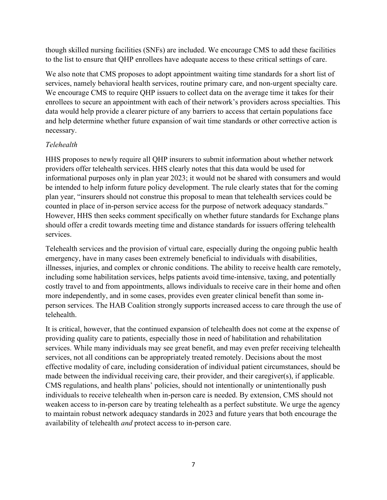though skilled nursing facilities (SNFs) are included. We encourage CMS to add these facilities to the list to ensure that QHP enrollees have adequate access to these critical settings of care.

We also note that CMS proposes to adopt appointment waiting time standards for a short list of services, namely behavioral health services, routine primary care, and non-urgent specialty care. We encourage CMS to require QHP issuers to collect data on the average time it takes for their enrollees to secure an appointment with each of their network's providers across specialties. This data would help provide a clearer picture of any barriers to access that certain populations face and help determine whether future expansion of wait time standards or other corrective action is necessary.

### *Telehealth*

HHS proposes to newly require all QHP insurers to submit information about whether network providers offer telehealth services. HHS clearly notes that this data would be used for informational purposes only in plan year 2023; it would not be shared with consumers and would be intended to help inform future policy development. The rule clearly states that for the coming plan year, "insurers should not construe this proposal to mean that telehealth services could be counted in place of in-person service access for the purpose of network adequacy standards." However, HHS then seeks comment specifically on whether future standards for Exchange plans should offer a credit towards meeting time and distance standards for issuers offering telehealth services.

Telehealth services and the provision of virtual care, especially during the ongoing public health emergency, have in many cases been extremely beneficial to individuals with disabilities, illnesses, injuries, and complex or chronic conditions. The ability to receive health care remotely, including some habilitation services, helps patients avoid time-intensive, taxing, and potentially costly travel to and from appointments, allows individuals to receive care in their home and often more independently, and in some cases, provides even greater clinical benefit than some inperson services. The HAB Coalition strongly supports increased access to care through the use of telehealth.

It is critical, however, that the continued expansion of telehealth does not come at the expense of providing quality care to patients, especially those in need of habilitation and rehabilitation services. While many individuals may see great benefit, and may even prefer receiving telehealth services, not all conditions can be appropriately treated remotely. Decisions about the most effective modality of care, including consideration of individual patient circumstances, should be made between the individual receiving care, their provider, and their caregiver(s), if applicable. CMS regulations, and health plans' policies, should not intentionally or unintentionally push individuals to receive telehealth when in-person care is needed. By extension, CMS should not weaken access to in-person care by treating telehealth as a perfect substitute. We urge the agency to maintain robust network adequacy standards in 2023 and future years that both encourage the availability of telehealth *and* protect access to in-person care.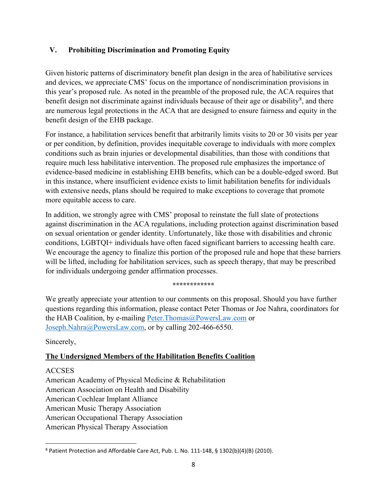### **V. Prohibiting Discrimination and Promoting Equity**

Given historic patterns of discriminatory benefit plan design in the area of habilitative services and devices, we appreciate CMS' focus on the importance of nondiscrimination provisions in this year's proposed rule. As noted in the preamble of the proposed rule, the ACA requires that benefit design not discriminate against individuals because of their age or disability<sup>[8](#page-7-0)</sup>, and there are numerous legal protections in the ACA that are designed to ensure fairness and equity in the benefit design of the EHB package.

For instance, a habilitation services benefit that arbitrarily limits visits to 20 or 30 visits per year or per condition, by definition, provides inequitable coverage to individuals with more complex conditions such as brain injuries or developmental disabilities, than those with conditions that require much less habilitative intervention. The proposed rule emphasizes the importance of evidence-based medicine in establishing EHB benefits, which can be a double-edged sword. But in this instance, where insufficient evidence exists to limit habilitation benefits for individuals with extensive needs, plans should be required to make exceptions to coverage that promote more equitable access to care.

In addition, we strongly agree with CMS' proposal to reinstate the full slate of protections against discrimination in the ACA regulations, including protection against discrimination based on sexual orientation or gender identity. Unfortunately, like those with disabilities and chronic conditions, LGBTQI+ individuals have often faced significant barriers to accessing health care. We encourage the agency to finalize this portion of the proposed rule and hope that these barriers will be lifted, including for habilitation services, such as speech therapy, that may be prescribed for individuals undergoing gender affirmation processes.

**\*\*\*\*\*\*\*\*\*\*\*\***

We greatly appreciate your attention to our comments on this proposal. Should you have further questions regarding this information, please contact Peter Thomas or Joe Nahra, coordinators for the HAB Coalition, by e-mailing [Peter.Thomas@PowersLaw.com](mailto:Peter.Thomas@PowersLaw.com) or [Joseph.Nahra@PowersLaw.com,](mailto:Joseph.Nahra@PowersLaw.com) or by calling 202-466-6550.

#### Sincerely,

#### **The Undersigned Members of the Habilitation Benefits Coalition**

#### ACCSES

American Academy of Physical Medicine & Rehabilitation American Association on Health and Disability American Cochlear Implant Alliance American Music Therapy Association American Occupational Therapy Association American Physical Therapy Association

<span id="page-7-0"></span><sup>8</sup> Patient Protection and Affordable Care Act, Pub. L. No. 111-148, § 1302(b)(4)(B) (2010).